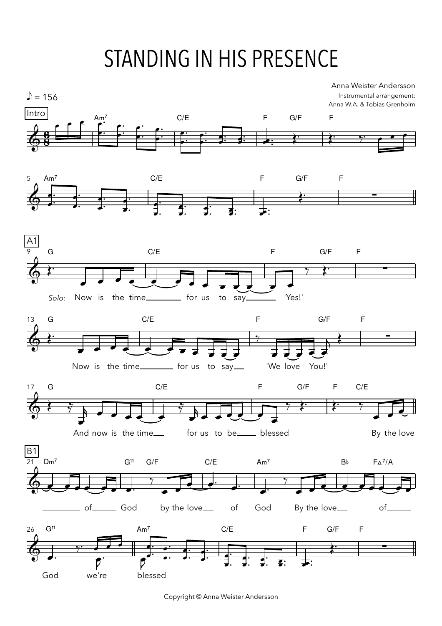## STANDING IN HIS PRESENCE



Copyright © Anna Weister Andersson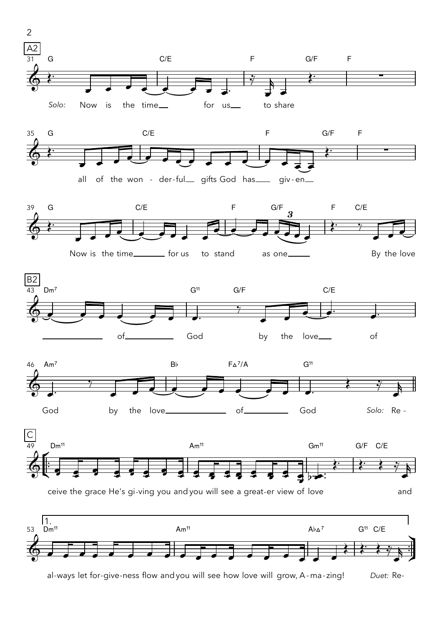

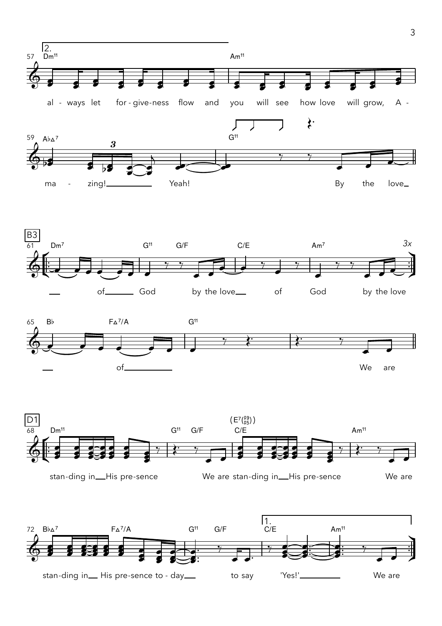



3

†

™ ™

œ œ

We are

œ

**e** 

 $\bullet$ :